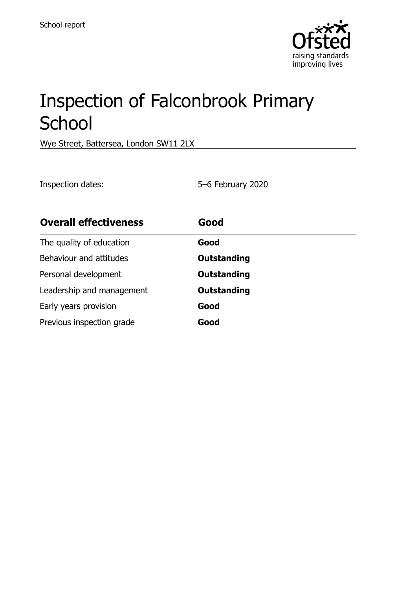

# Inspection of Falconbrook Primary **School**

Wye Street, Battersea, London SW11 2LX

Inspection dates: 5–6 February 2020

| <b>Overall effectiveness</b> | Good               |
|------------------------------|--------------------|
| The quality of education     | Good               |
| Behaviour and attitudes      | <b>Outstanding</b> |
| Personal development         | <b>Outstanding</b> |
| Leadership and management    | <b>Outstanding</b> |
| Early years provision        | Good               |
| Previous inspection grade    | Good               |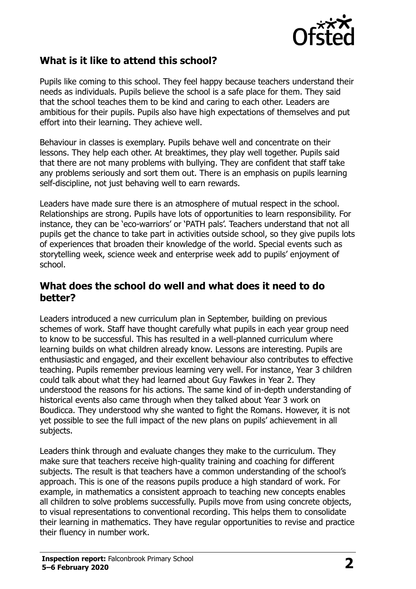

## **What is it like to attend this school?**

Pupils like coming to this school. They feel happy because teachers understand their needs as individuals. Pupils believe the school is a safe place for them. They said that the school teaches them to be kind and caring to each other. Leaders are ambitious for their pupils. Pupils also have high expectations of themselves and put effort into their learning. They achieve well.

Behaviour in classes is exemplary. Pupils behave well and concentrate on their lessons. They help each other. At breaktimes, they play well together. Pupils said that there are not many problems with bullying. They are confident that staff take any problems seriously and sort them out. There is an emphasis on pupils learning self-discipline, not just behaving well to earn rewards.

Leaders have made sure there is an atmosphere of mutual respect in the school. Relationships are strong. Pupils have lots of opportunities to learn responsibility. For instance, they can be 'eco-warriors' or 'PATH pals'. Teachers understand that not all pupils get the chance to take part in activities outside school, so they give pupils lots of experiences that broaden their knowledge of the world. Special events such as storytelling week, science week and enterprise week add to pupils' enjoyment of school.

#### **What does the school do well and what does it need to do better?**

Leaders introduced a new curriculum plan in September, building on previous schemes of work. Staff have thought carefully what pupils in each year group need to know to be successful. This has resulted in a well-planned curriculum where learning builds on what children already know. Lessons are interesting. Pupils are enthusiastic and engaged, and their excellent behaviour also contributes to effective teaching. Pupils remember previous learning very well. For instance, Year 3 children could talk about what they had learned about Guy Fawkes in Year 2. They understood the reasons for his actions. The same kind of in-depth understanding of historical events also came through when they talked about Year 3 work on Boudicca. They understood why she wanted to fight the Romans. However, it is not yet possible to see the full impact of the new plans on pupils' achievement in all subjects.

Leaders think through and evaluate changes they make to the curriculum. They make sure that teachers receive high-quality training and coaching for different subjects. The result is that teachers have a common understanding of the school's approach. This is one of the reasons pupils produce a high standard of work. For example, in mathematics a consistent approach to teaching new concepts enables all children to solve problems successfully. Pupils move from using concrete objects, to visual representations to conventional recording. This helps them to consolidate their learning in mathematics. They have regular opportunities to revise and practice their fluency in number work.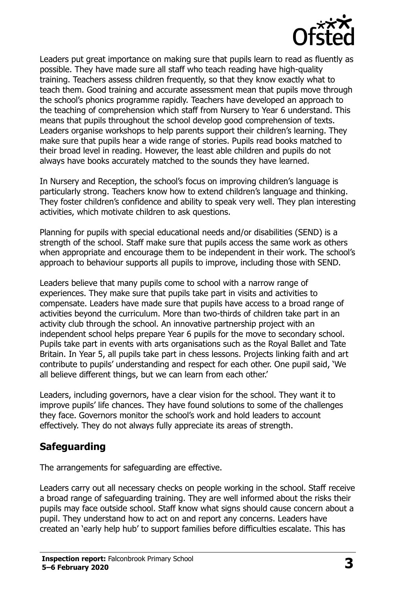

Leaders put great importance on making sure that pupils learn to read as fluently as possible. They have made sure all staff who teach reading have high-quality training. Teachers assess children frequently, so that they know exactly what to teach them. Good training and accurate assessment mean that pupils move through the school's phonics programme rapidly. Teachers have developed an approach to the teaching of comprehension which staff from Nursery to Year 6 understand. This means that pupils throughout the school develop good comprehension of texts. Leaders organise workshops to help parents support their children's learning. They make sure that pupils hear a wide range of stories. Pupils read books matched to their broad level in reading. However, the least able children and pupils do not always have books accurately matched to the sounds they have learned.

In Nursery and Reception, the school's focus on improving children's language is particularly strong. Teachers know how to extend children's language and thinking. They foster children's confidence and ability to speak very well. They plan interesting activities, which motivate children to ask questions.

Planning for pupils with special educational needs and/or disabilities (SEND) is a strength of the school. Staff make sure that pupils access the same work as others when appropriate and encourage them to be independent in their work. The school's approach to behaviour supports all pupils to improve, including those with SEND.

Leaders believe that many pupils come to school with a narrow range of experiences. They make sure that pupils take part in visits and activities to compensate. Leaders have made sure that pupils have access to a broad range of activities beyond the curriculum. More than two-thirds of children take part in an activity club through the school. An innovative partnership project with an independent school helps prepare Year 6 pupils for the move to secondary school. Pupils take part in events with arts organisations such as the Royal Ballet and Tate Britain. In Year 5, all pupils take part in chess lessons. Projects linking faith and art contribute to pupils' understanding and respect for each other. One pupil said, 'We all believe different things, but we can learn from each other.'

Leaders, including governors, have a clear vision for the school. They want it to improve pupils' life chances. They have found solutions to some of the challenges they face. Governors monitor the school's work and hold leaders to account effectively. They do not always fully appreciate its areas of strength.

#### **Safeguarding**

The arrangements for safeguarding are effective.

Leaders carry out all necessary checks on people working in the school. Staff receive a broad range of safeguarding training. They are well informed about the risks their pupils may face outside school. Staff know what signs should cause concern about a pupil. They understand how to act on and report any concerns. Leaders have created an 'early help hub' to support families before difficulties escalate. This has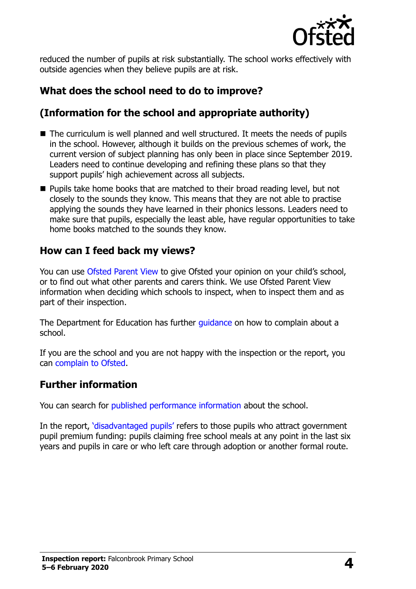

reduced the number of pupils at risk substantially. The school works effectively with outside agencies when they believe pupils are at risk.

# **What does the school need to do to improve?**

## **(Information for the school and appropriate authority)**

- The curriculum is well planned and well structured. It meets the needs of pupils in the school. However, although it builds on the previous schemes of work, the current version of subject planning has only been in place since September 2019. Leaders need to continue developing and refining these plans so that they support pupils' high achievement across all subjects.
- **Pupils take home books that are matched to their broad reading level, but not** closely to the sounds they know. This means that they are not able to practise applying the sounds they have learned in their phonics lessons. Leaders need to make sure that pupils, especially the least able, have regular opportunities to take home books matched to the sounds they know.

## **How can I feed back my views?**

You can use [Ofsted Parent View](http://parentview.ofsted.gov.uk/) to give Ofsted your opinion on your child's school, or to find out what other parents and carers think. We use Ofsted Parent View information when deciding which schools to inspect, when to inspect them and as part of their inspection.

The Department for Education has further [guidance](http://www.gov.uk/complain-about-school) on how to complain about a school.

If you are the school and you are not happy with the inspection or the report, you can [complain to Ofsted.](http://www.gov.uk/complain-ofsted-report)

## **Further information**

You can search for [published performance information](http://www.compare-school-performance.service.gov.uk/) about the school.

In the report, '[disadvantaged pupils](http://www.gov.uk/guidance/pupil-premium-information-for-schools-and-alternative-provision-settings)' refers to those pupils who attract government pupil premium funding: pupils claiming free school meals at any point in the last six years and pupils in care or who left care through adoption or another formal route.

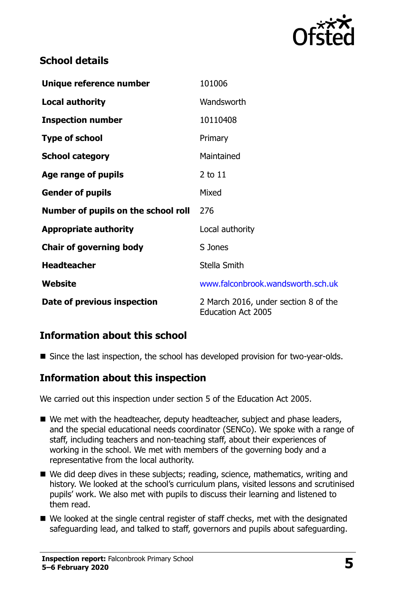

## **School details**

| Unique reference number             | 101006                                                            |
|-------------------------------------|-------------------------------------------------------------------|
| <b>Local authority</b>              | Wandsworth                                                        |
| <b>Inspection number</b>            | 10110408                                                          |
| <b>Type of school</b>               | Primary                                                           |
| <b>School category</b>              | Maintained                                                        |
| Age range of pupils                 | 2 to 11                                                           |
| <b>Gender of pupils</b>             | Mixed                                                             |
| Number of pupils on the school roll | 276                                                               |
| <b>Appropriate authority</b>        | Local authority                                                   |
| <b>Chair of governing body</b>      | S Jones                                                           |
| <b>Headteacher</b>                  | Stella Smith                                                      |
| Website                             | www.falconbrook.wandsworth.sch.uk                                 |
| Date of previous inspection         | 2 March 2016, under section 8 of the<br><b>Education Act 2005</b> |

## **Information about this school**

Since the last inspection, the school has developed provision for two-year-olds.

## **Information about this inspection**

We carried out this inspection under section 5 of the Education Act 2005.

- We met with the headteacher, deputy headteacher, subject and phase leaders, and the special educational needs coordinator (SENCo). We spoke with a range of staff, including teachers and non-teaching staff, about their experiences of working in the school. We met with members of the governing body and a representative from the local authority.
- We did deep dives in these subjects; reading, science, mathematics, writing and history. We looked at the school's curriculum plans, visited lessons and scrutinised pupils' work. We also met with pupils to discuss their learning and listened to them read.
- We looked at the single central register of staff checks, met with the designated safeguarding lead, and talked to staff, governors and pupils about safeguarding.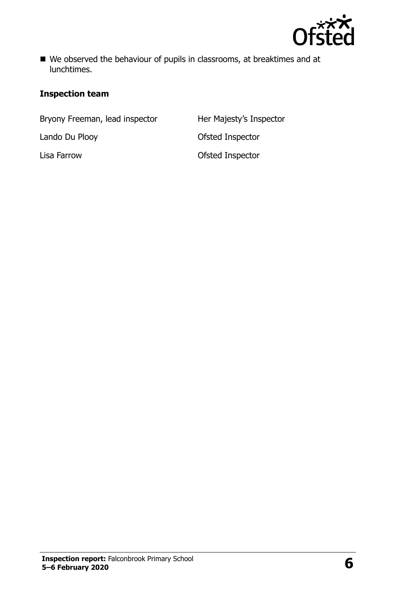

■ We observed the behaviour of pupils in classrooms, at breaktimes and at lunchtimes.

#### **Inspection team**

Bryony Freeman, lead inspector Her Majesty's Inspector

Lando Du Plooy **Canadia Except Control Control Control Control Control Control Control Control Control Control Control Control Control Control Control Control Control Control Control Control Control Control Control Control** Lisa Farrow Ofsted Inspector